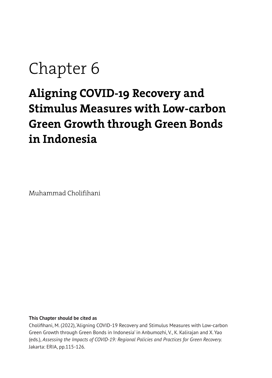# Chapter 6

## **Aligning COVID-19 Recovery and Stimulus Measures with Low-carbon Green Growth through Green Bonds in Indonesia**

Muhammad Cholifihani

#### **This Chapter should be cited as**

Cholifihani, M. (2022), 'Aligning COVID-19 Recovery and Stimulus Measures with Low-carbon Green Growth through Green Bonds in Indonesia' in Anbumozhi, V., K. Kalirajan and X. Yao (eds.), *Assessing the Impacts of COVID-19: Regional Policies and Practices for Green Recovery.*  Jakarta: ERIA, pp.115-126.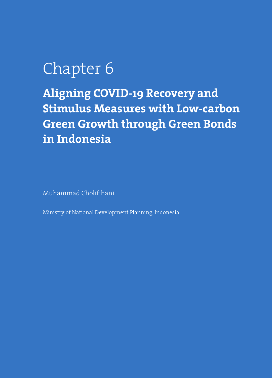## Chapter 6

**Aligning COVID-19 Recovery and Stimulus Measures with Low-carbon Green Growth through Green Bonds in Indonesia**

Muhammad Cholifihani

Ministry of National Development Planning, Indonesia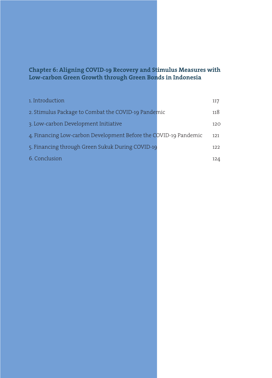#### **Chapter 6: Aligning COVID-19 Recovery and Stimulus Measures with Low-carbon Green Growth through Green Bonds in Indonesia**

| 1. Introduction                                                  | 117 |
|------------------------------------------------------------------|-----|
| 2. Stimulus Package to Combat the COVID-19 Pandemic              | 118 |
| 3. Low-carbon Development Initiative                             | 120 |
| 4. Financing Low-carbon Development Before the COVID-19 Pandemic | 121 |
| 5. Financing through Green Sukuk During COVID-19                 | 122 |
| 6. Conclusion                                                    | 124 |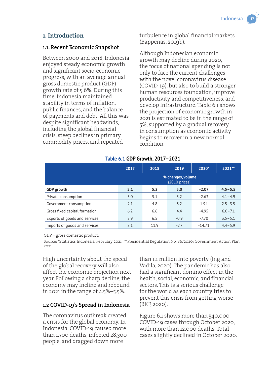#### **1. Introduction**

#### **1.1. Recent Economic Snapshot**

Between 2000 and 2018, Indonesia enjoyed steady economic growth and significant socio-economic progress, with an average annual gross domestic product (GDP) growth rate of 5.6%. During this time, Indonesia maintained stability in terms of inflation, public finances, and the balance of payments and debt. All this was despite significant headwinds, including the global financial crisis, steep declines in primary commodity prices, and repeated

turbulence in global financial markets (Bappenas, 2019b).

Although Indonesian economic growth may decline during 2020, the focus of national spending is not only to face the current challenges with the novel coronavirus disease (COVID-19), but also to build a stronger human resources foundation, improve productivity and competitiveness, and develop infrastructure. Table 6.1 shows the projection of economic growth in 2021 is estimated to be in the range of 5%, supported by a gradual recovery in consumption as economic activity begins to recover in a new normal condition.

|                               | 2017                                  | 2018 | 2019   | 2020*    | 2021**      |  |
|-------------------------------|---------------------------------------|------|--------|----------|-------------|--|
|                               | % changes, volume<br>$(2010)$ prices) |      |        |          |             |  |
| <b>GDP</b> growth             | 5.1                                   | 5.2  | 5.0    | $-2.07$  | $4.5 - 5.5$ |  |
| Private consumption           | 5.0                                   | 5.1  | 5.2    | $-2.63$  | $4.1 - 4.9$ |  |
| Government consumption        | 2.1                                   | 4.8  | 3.2    | 1.94     | $2.5 - 3.5$ |  |
| Gross fixed capital formation | 6.2                                   | 6.6  | 4.4    | $-4.95$  | $6.0 - 7.1$ |  |
| Exports of goods and services | 8.9                                   | 6.5  | $-0.9$ | $-7.70$  | $3.5 - 5.1$ |  |
| Imports of goods and services | 8.1                                   | 11.9 | $-7.7$ | $-14.71$ | $4.4 - 5.9$ |  |

#### **Table 6.1 GDP Growth, 2017–2021**

GDP = gross domestic product.

Source: \*Statistics Indonesia, February 2021; \*\*Presidential Regulation No. 86/2020: Government Action Plan 2021.

High uncertainty about the speed of the global recovery will also affect the economic projection next year. Following a sharp decline, the economy may incline and rebound in 2021 in the range of 4.5%–5.5%.

#### **1.2 COVID-19's Spread in Indonesia**

The coronavirus outbreak created a crisis for the global economy. In Indonesia, COVID-19 caused more than 1,700 deaths, infected 28,300 people, and dragged down more

than 1.1 million into poverty (Ing and Vadila, 2020). The pandemic has also had a significant domino effect in the health, social, economic, and financial sectors. This is a serious challenge for the world as each country tries to prevent this crisis from getting worse (BKF, 2020).

Figure 6.1 shows more than 340,000 COVID-19 cases through October 2020, with more than 12,000 deaths. Total cases slightly declined in October 2020.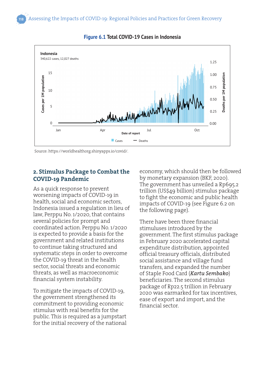

#### **Figure 6.1 Total COVID-19 Cases in Indonesia**

#### **2. Stimulus Package to Combat the COVID-19 Pandemic**

As a quick response to prevent worsening impacts of COVID-19 in health, social and economic sectors, Indonesia issued a regulation in lieu of law, Perppu No. 1/2020, that contains several policies for prompt and coordinated action. Perppu No. 1/2020 is expected to provide a basis for the government and related institutions to continue taking structured and systematic steps in order to overcome the COVID-19 threat in the health sector, social threats and economic threats, as well as macroeconomic financial system instability.

To mitigate the impacts of COVID-19, the government strengthened its commitment to providing economic stimulus with real benefits for the public. This is required as a jumpstart for the initial recovery of the national economy, which should then be followed by monetary expansion (BKF, 2020). The government has unveiled a Rp695.2 trillion (US\$49 billion) stimulus package to fight the economic and public health impacts of COVID-19 (see Figure 6.2 on the following page).

There have been three financial stimuluses introduced by the government. The first stimulus package in February 2020 accelerated capital expenditure distribution, appointed official treasury officials, distributed social assistance and village fund transfers, and expanded the number of Staple Food Card (*Kartu Sembako*) beneficiaries. The second stimulus package of Rp22.5 trillion in February 2020 was earmarked for tax incentives, ease of export and import, and the financial sector.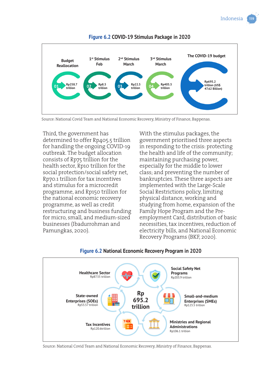

#### **Figure 6.2 COVID-19 Stimulus Package in 2020**

Source: National Covid Team and National Economic Recovery, Ministry of Finance, Bappenas.

Third, the government has determined to offer Rp405.5 trillion for handling the ongoing COVID-19 outbreak. The budget allocation consists of Rp75 trillion for the health sector, Rp10 trillion for the social protection/social safety net, Rp70.1 trillion for tax incentives and stimulus for a microcredit programme, and Rp150 trillion for the national economic recovery programme, as well as credit restructuring and business funding for micro, small, and medium-sized businesses (Ibadurrohman and Pamungkas, 2020).

With the stimulus packages, the government prioritised three aspects in responding to the crisis: protecting the health and life of the community; maintaining purchasing power, especially for the middle to lower class; and preventing the number of bankruptcies. These three aspects are implemented with the Large-Scale Social Restrictions policy, limiting physical distance, working and studying from home, expansion of the Family Hope Program and the Preemployment Card, distribution of basic necessities, tax incentives, reduction of electricity bills, and National Economic Recovery Programs (BKF, 2020).



#### **Figure 6.2 National Economic Recovery Program in 2020**

Source: National Covid Team and National Economic Recovery, Ministry of Finance, Bappenas.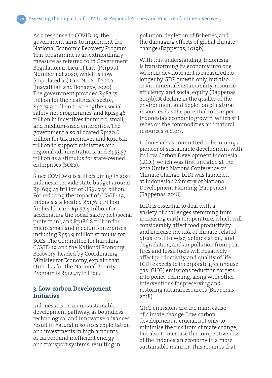As a response to COVID-19, the government aims to implement the National Economic Recovery Program. This programme is an extraordinary measure as referred to in Government Regulation in Lieu of Law (Perppu) Number 1 of 2020, which is now (stipulated as) Law No. 2 of 2020 (Inayatillah and Bonaedy, 2020). The government provided Rp87.55 trillion for the healthcare sector, Rp203.9 trillion to strengthen social safety net programmes, and Rp123.46 trillion in incentives for micro, small, and medium-sized enterprises. The government also allocated Rp120.6 trillion for tax incentives and Rp106.11 trillion to support ministries and regional administrations, and Rp53.57 trillion as a stimulus for state-owned enterprises (SOEs).

Since COVID-19 is still occurring in 2021, Indonesia provide state budget around Rp. 699.43 trillion or US\$ 47.91 billion. For reducing the impact of COVID-19, Indonesia allocated Rp176.3 trillion for health care, Rp157.4 trillion for accelerating the social safety net (social protection), and Rp186.8 trillion for micro, small and medium enterprises including Rp53.9 million stimulus for SOEs. The Committee for handling COVID-19 and the National Economy Recovery, headed by Coordinating Minister for Economy, explain that stimulus for the National Priority Program is Rp125.17 trillion.

#### **3. Low-carbon Development Initiative**

Indonesia is on an unsustainable development pathway, as boundless technological and innovative advances result in natural resources exploitation and investments in high amounts of carbon, and inefficient energy and transport systems, resulting in

pollution, depletion of fisheries, and the damaging effects of global climate change (Bappenas, 2019b).

With this understanding, Indonesia is transforming its economy into one wherein development is measured no longer by GDP growth only, but also environmental sustainability, resource efficiency, and social equity (Bappenas, 2019b). A decline in the quality of the environment and depletion of natural resources has the potential to hamper Indonesia's economic growth, which still relies on the commodities and natural resources sectors.

Indonesia has committed to becoming a pioneer of sustainable development with its Low Carbon Development Indonesia (LCDI), which was first initiated at the 2017 United Nations Conference on Climate Change. LCDI was launched at Indonesia's Ministry of National Development Planning (Bappenas) (Bappenas, 2018).

LCDI is essential to deal with a variety of challenges stemming from increasing earth temperature, which will considerably affect food productivity and increase the risk of climate-related disasters. Likewise, deforestation, land degradation, and air pollution from peat fires and fossil fuels will negatively affect productivity and quality of life. LCDI expects to incorporate greenhouse gas (GHG) emissions reduction targets into policy planning, along with other interventions for preserving and restoring natural resources (Bappenas, 2018).

GHG emissions are the main cause of climate change. Low-carbon development is crucial, not only to minimise the risk from climate change, but also to increase the competitiveness of the Indonesian economy in a more sustainable manner. This requires that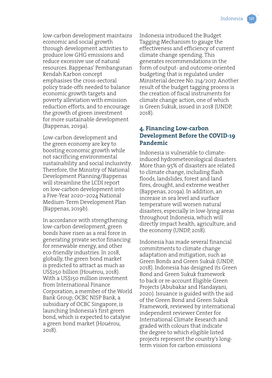low-carbon development maintains economic and social growth through development activities to produce low GHG emissions and reduce excessive use of natural resources. Bappenas' Pembangunan Rendah Karbon concept emphasises the cross-sectoral policy trade-offs needed to balance economic growth targets and poverty alleviation with emission reduction efforts, and to encourage the growth of green investment for more sustainable development (Bappenas, 2019a).

Low-carbon development and the green economy are key to boosting economic growth while not sacrificing environmental sustainability and social inclusivity. Therefore, the Ministry of National Development Planning/Bappenas will streamline the LCDI report on low-carbon development into a Five-Year 2020–2024 National Medium-Term Development Plan (Bappenas, 2019b).

In accordance with strengthening low-carbon development, green bonds have risen as a real force in generating private sector financing for renewable energy, and other eco-friendly industries. In 2018, globally, the green bond market is predicted to attract as much as US\$250 billion (Houérou, 2018). With a US\$150 million investment from International Finance Corporation, a member of the World Bank Group, OCBC NISP Bank, a subsidiary of OCBC Singapore, is launching Indonesia's first green bond, which is expected to catalyse a green bond market (Houérou, 2018).

Indonesia introduced the Budget Tagging Mechanism to gauge the effectiveness and efficiency of current climate change spending. This generates recommendations in the form of output- and outcome-oriented budgeting that is regulated under Ministerial decree No. 214/2017. Another result of the budget tagging process is the creation of fiscal instruments for climate change action, one of which is Green Sukuk, issued in 2018 (UNDP, 2018).

#### **4. Financing Low-carbon Development Before the COVID-19 Pandemic**

Indonesia is vulnerable to climateinduced hydrometeorological disasters. More than 95% of disasters are related to climate change, including flash floods, landslides, forest and land fires, drought, and extreme weather (Bappenas, 2019a). In addition, an increase in sea level and surface temperature will worsen natural disasters, especially in low-lying areas throughout Indonesia, which will directly impact health, agriculture, and the economy (UNDP, 2018).

Indonesia has made several financial commitments to climate change adaptation and mitigation, such as Green Bonds and Green Sukuk (UNDP, 2018). Indonesia has designed its Green Bond and Green Sukuk framework to back or re-account Eligible Green Projects (Abubakar and Handayani, 2020). Issuance is guided with the aid of the Green Bond and Green Sukuk Framework, reviewed by international independent reviewer Center for International Climate Research and graded with colours that indicate the degree to which eligible listed projects represent the country's longterm vision for carbon emissions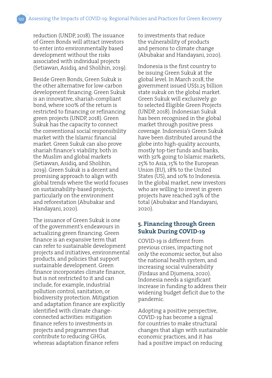reduction (UNDP, 2018). The issuance of Green Bonds will attract investors to enter into environmentally based development without the risks associated with individual projects (Setiawan, Asidiq, and Sholihin, 2019).

Beside Green Bonds, Green Sukuk is the other alternative for low-carbon development financing. Green Sukuk is an innovative, shariah-compliant bond, where 100% of the return is restricted to financing or refinancing green projects (UNDP, 2018). Green Sukuk has the capacity to connect the conventional social responsibility market with the Islamic financial market. Green Sukuk can also prove shariah finance's viability, both in the Muslim and global markets (Setiawan, Asidiq, and Sholihin, 2019). Green Sukuk is a decent and promising approach to align with global trends where the world focuses on sustainability-based projects, particularly on the environment and reforestation (Abubakar and Handayani, 2020).

The issuance of Green Sukuk is one of the government's endeavours in actualizing green financing. Green finance is an expansive term that can refer to sustainable development projects and initiatives, environmental products, and policies that support sustainable development. Green finance incorporates climate finance, but is not restricted to it and can include, for example, industrial pollution control, sanitation, or biodiversity protection. Mitigation and adaptation finance are explicitly identified with climate changeconnected activities: mitigation finance refers to investments in projects and programmes that contribute to reducing GHGs, whereas adaptation finance refers

to investments that reduce the vulnerability of products and persons to climate change (Abubakar and Handayani, 2020).

Indonesia is the first country to be issuing Green Sukuk at the global level. In March 2018, the government issued US\$1.25 billion state sukuk on the global market. Green Sukuk will exclusively go to selected Eligible Green Projects (UNDP, 2018). Indonesian Sukuk has been recognised in the global market through positive press coverage. Indonesia's Green Sukuk have been distributed around the globe into high-quality accounts, mostly top-tier funds and banks, with 32% going to Islamic markets, 25% to Asia, 15% to the European Union (EU), 18% to the United States (US), and 10% to Indonesia. In the global market, new investors who are willing to invest in green projects have reached 29% of the total (Abubakar and Handayani, 2020).

#### **5. Financing through Green Sukuk During COVID-19**

COVID-19 is different from previous crises, impacting not only the economic sector, but also the national health system, and increasing social vulnerability (Firdaus and Djumena, 2020). Indonesia needs a significant increase in funding to address their widening budget deficit due to the pandemic.

Adopting a positive perspective, COVID-19 has become a signal for countries to make structural changes that align with sustainable economic practices, and it has had a positive impact on reducing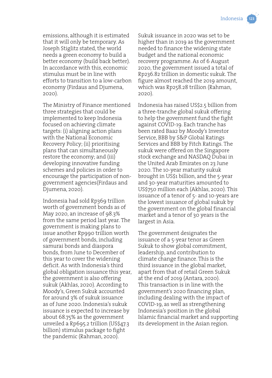

emissions, although it is estimated that it will only be temporary. As Joseph Stiglitz stated, the world needs a green economy to build a better economy (build back better). In accordance with this, economic stimulus must be in line with efforts to transition to a low-carbon economy (Firdaus and Djumena, 2020).

The Ministry of Finance mentioned three strategies that could be implemented to keep Indonesia focused on achieving climate targets: (i) aligning action plans with the National Economic Recovery Policy; (ii) prioritising plans that can simultaneously restore the economy; and (iii) developing innovative funding schemes and policies in order to encourage the participation of nongovernment agencies(Firdaus and Djumena, 2020).

Indonesia had sold Rp369 trillion worth of government bonds as of May 2020, an increase of 98.3% from the same period last year. The government is making plans to issue another Rp990 trillion worth of government bonds, including samurai bonds and diaspora bonds, from June to December of this year to cover the widening deficit. As with Indonesia's third global obligation issuance this year, the government is also offering sukuk (Akhlas, 2020). According to Moody's, Green Sukuk accounted for around 3% of sukuk issuance as of June 2020. Indonesia's sukuk issuance is expected to increase by about 68.75% as the government unveiled a Rp695.2 trillion (US\$47.3 billion) stimulus package to fight the pandemic (Rahman, 2020).

Sukuk issuance in 2020 was set to be higher than in 2019 as the government needed to finance the widening state budget and the national economic recovery programme. As of 6 August 2020, the government issued a total of Rp236.82 trillion in domestic sukuk. The figure almost reached the 2019 amount, which was Rp258.28 trillion (Rahman, 2020).

Indonesia has raised US\$2.5 billion from a three-tranche global sukuk offering to help the government fund the fight against COVID-19. Each tranche has been rated Baa2 by Moody's Investor Service, BBB by S&P Global Ratings Services and BBB by Fitch Ratings. The sukuk were offered on the Singapore stock exchange and NASDAQ Dubai in the United Arab Emirates on 23 June 2020. The 10-year maturity sukuk brought in US\$1 billion, and the 5-year and 30-year maturities amounted to US\$750 million each (Akhlas, 2020). This issuance of a tenor of 5- and 10-years are the lowest issuance of global sukuk by the government on the global financial market and a tenor of 30 years is the largest in Asia.

The government designates the issuance of a 5-year tenor as Green Sukuk to show global commitment, leadership, and contribution to climate change finance. This is the third issuance in the global market, apart from that of retail Green Sukuk at the end of 2019 (Antara, 2020). This transaction is in line with the government's 2020 financing plan, including dealing with the impact of COVID-19, as well as strengthening Indonesia's position in the global Islamic financial market and supporting its development in the Asian region.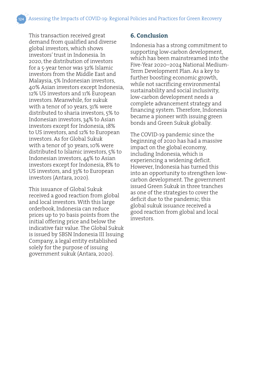This transaction received great demand from qualified and diverse global investors, which shows investors' trust in Indonesia. In 2020, the distribution of investors for a 5-year tenor was 32% Islamic investors from the Middle East and Malaysia, 5% Indonesian investors, 40% Asian investors except Indonesia, 12% US investors and 11% European investors. Meanwhile, for sukuk with a tenor of 10 years, 31% were distributed to sharia investors, 5% to Indonesian investors, 34% to Asian investors except for Indonesia, 18% to US investors, and 12% to European investors. As for Global Sukuk with a tenor of 30 years, 10% were distributed to Islamic investors, 5% to Indonesian investors, 44% to Asian investors except for Indonesia, 8% to US investors, and 33% to European investors (Antara, 2020).

This issuance of Global Sukuk received a good reaction from global and local investors. With this large orderbook, Indonesia can reduce prices up to 70 basis points from the initial offering price and below the indicative fair value. The Global Sukuk is issued by SBSN Indonesia III Issuing Company, a legal entity established solely for the purpose of issuing government sukuk (Antara, 2020).

#### **6. Conclusion**

Indonesia has a strong commitment to supporting low-carbon development, which has been mainstreamed into the Five-Year 2020–2024 National Medium-Term Development Plan. As a key to further boosting economic growth, while not sacrificing environmental sustainability and social inclusivity, low-carbon development needs a complete advancement strategy and financing system. Therefore, Indonesia became a pioneer with issuing green bonds and Green Sukuk globally.

The COVID-19 pandemic since the beginning of 2020 has had a massive impact on the global economy, including Indonesia, which is experiencing a widening deficit. However, Indonesia has turned this into an opportunity to strengthen lowcarbon development. The government issued Green Sukuk in three tranches as one of the strategies to cover the deficit due to the pandemic; this global sukuk issuance received a good reaction from global and local investors.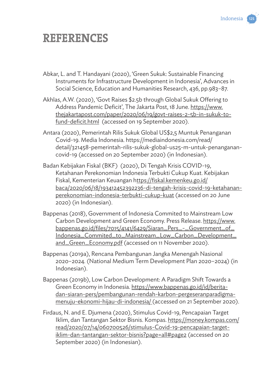

### **REFERENCES**

- Abkar, L. and T. Handayani (2020), 'Green Sukuk: Sustainable Financing Instruments for Infrastructure Development in Indonesia', Advances in Social Science, Education and Humanities Research, 436, pp.983–87.
- Akhlas, A.W. (2020), 'Govt Raises \$2.5b through Global Sukuk Offering to Address Pandemic Deficit', The Jakarta Post, 18 June. https://www. thejakartapost.com/paper/2020/06/19/govt-raises-2-5b-in-sukuk-tofund-deficit.html (accessed on 19 September 2020).
- Antara (2020), Pemerintah Rilis Sukuk Global US\$2,5 Muntuk Penanganan Covid-19. Media Indonesia. https://mediaindonesia.com/read/ detail/321458-pemerintah-rilis-sukuk-global-us25-m-untuk-penanganancovid-19 (accessed on 20 September 2020) (in Indonesian).
- Badan Kebijakan Fiskal (BKF) (2020), Di Tengah Krisis COVID-19, Ketahanan Perekonomian Indonesia Terbukti Cukup Kuat. Kebijakan Fiskal, Kementerian Keuangan https://fiskal.kemenkeu.go.id/ baca/2020/06/18/193412452392236-di-tengah-krisis-covid-19-ketahananperekonomian-indonesia-terbukti-cukup-kuat (accessed on 20 June 2020) (in Indonesian).
- Bappenas (2018), Government of Indonesia Commited to Mainstream Low Carbon Development and Green Economy. Press Release. https://www. bappenas.go.id/files/7015/4141/6429/Siaran\_Pers\_-\_Government\_of\_ Indonesia\_Commited\_to\_Mainstream\_Low\_Carbon\_Development\_ and\_Green\_Economy.pdf (accessed on 11 November 2020).
- Bappenas (2019a), Rencana Pembangunan Jangka Menengah Nasional 2020–2024. (National Medium Term Development Plan 2020–2024) (in Indonesian).
- Bappenas (2019b), Low Carbon Development: A Paradigm Shift Towards a Green Economy in Indonesia. https://www.bappenas.go.id/id/beritadan-siaran-pers/pembangunan-rendah-karbon-pergeseranparadigmamenuju-ekonomi-hijau-di-indonesia/ (accessed on 21 September 2020).
- Firdaus, N. and E. Djumena (2020), Stimulus Covid-19, Pencapaian Target Iklim, dan Tantangan Sektor Bisnis. Kompas. https://money.kompas.com/ read/2020/07/14/060700526/stimulus-Covid-19-pencapaian-targetiklim-dan-tantangan-sektor-bisnis?page=all#page2 (accessed on 20 September 2020) (in Indonesian).